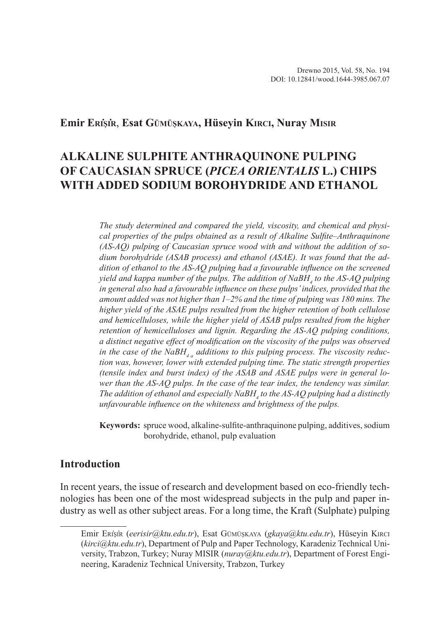#### **Emir Eri̇şi̇r**, **Esat Gümüşkaya, Hüseyin Kirci, Nuray Misir**

# **ALKALINE SULPHITE ANTHRAQUINONE PULPING OF CAUCASIAN SPRUCE (***PICEA ORIENTALIS* **L.) CHIPS WITH ADDED SODIUM BOROHYDRIDE AND ETHANOL**

*The study determined and compared the yield, viscosity, and chemical and physical properties of the pulps obtained as a result of Alkaline Sulfite–Anthraquinone (AS-AQ) pulping of Caucasian spruce wood with and without the addition of sodium borohydride (ASAB process) and ethanol (ASAE). It was found that the addition of ethanol to the AS-AQ pulping had a favourable influence on the screened yield and kappa number of the pulps. The addition of NaBH4 to the AS-AQ pulping in general also had a favourable influence on these pulps' indices, provided that the amount added was not higher than 1–2% and the time of pulping was 180 mins. The higher yield of the ASAE pulps resulted from the higher retention of both cellulose and hemicelluloses, while the higher yield of ASAB pulps resulted from the higher retention of hemicelluloses and lignin. Regarding the AS-AQ pulping conditions, a distinct negative effect of modification on the viscosity of the pulps was observed in the case of the NaBH<sub>4</sub> additions to this pulping process. The viscosity reduction was, however, lower with extended pulping time. The static strength properties (tensile index and burst index) of the ASAB and ASAE pulps were in general lower than the AS-AQ pulps. In the case of the tear index, the tendency was similar. The addition of ethanol and especially NaBH4 to the AS-AQ pulping had a distinctly unfavourable influence on the whiteness and brightness of the pulps.*

**Keywords:** spruce wood, alkaline-sulfite-anthraquinone pulping, additives, sodium borohydride, ethanol, pulp evaluation

# **Introduction**

In recent years, the issue of research and development based on eco-friendly technologies has been one of the most widespread subjects in the pulp and paper industry as well as other subject areas. For a long time, the Kraft (Sulphate) pulping

Emir Eri̇şi̇r (*eerisir@ktu.edu.tr*), Esat Gümüşkaya (*gkaya@ktu.edu.tr*), Hüseyin Kirci (*kirci@ktu.edu.tr*), Department of Pulp and Paper Technology, Karadeniz Technical University, Trabzon, Turkey; Nuray MISIR (*nuray@ktu.edu.tr*), Department of Forest Engineering, Karadeniz Technical University, Trabzon, Turkey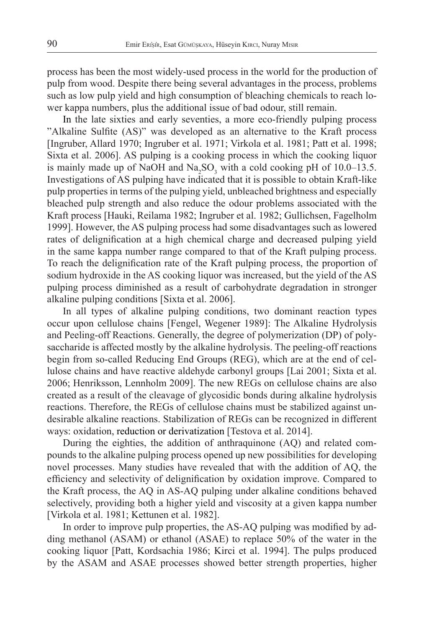process has been the most widely-used process in the world for the production of pulp from wood. Despite there being several advantages in the process, problems such as low pulp yield and high consumption of bleaching chemicals to reach lower kappa numbers, plus the additional issue of bad odour, still remain.

In the late sixties and early seventies, a more eco-friendly pulping process "Alkaline Sulfite (AS)" was developed as an alternative to the Kraft process [Ingruber, Allard 1970; Ingruber et al. 1971; Virkola et al. 1981; Patt et al. 1998; Sixta et al. 2006]. AS pulping is a cooking process in which the cooking liquor is mainly made up of NaOH and Na<sub>2</sub>SO<sub>3</sub> with a cold cooking pH of 10.0–13.5. Investigations of AS pulping have indicated that it is possible to obtain Kraft-like pulp properties in terms of the pulping yield, unbleached brightness and especially bleached pulp strength and also reduce the odour problems associated with the Kraft process [Hauki, Reilama 1982; Ingruber et al. 1982; Gullichsen, Fagelholm 1999]. However, the AS pulping process had some disadvantages such as lowered rates of delignification at a high chemical charge and decreased pulping yield in the same kappa number range compared to that of the Kraft pulping process. To reach the delignification rate of the Kraft pulping process, the proportion of sodium hydroxide in the AS cooking liquor was increased, but the yield of the AS pulping process diminished as a result of carbohydrate degradation in stronger alkaline pulping conditions [Sixta et al. 2006].

In all types of alkaline pulping conditions, two dominant reaction types occur upon cellulose chains [Fengel, Wegener 1989]: The Alkaline Hydrolysis and Peeling-off Reactions. Generally, the degree of polymerization (DP) of polysaccharide is affected mostly by the alkaline hydrolysis. The peeling-off reactions begin from so-called Reducing End Groups (REG), which are at the end of cellulose chains and have reactive aldehyde carbonyl groups [Lai 2001; Sixta et al. 2006; Henriksson, Lennholm 2009]. The new REGs on cellulose chains are also created as a result of the cleavage of glycosidic bonds during alkaline hydrolysis reactions. Therefore, the REGs of cellulose chains must be stabilized against undesirable alkaline reactions. Stabilization of REGs can be recognized in different ways: oxidation, reduction or derivatization [Testova et al. 2014].

During the eighties, the addition of anthraquinone (AQ) and related compounds to the alkaline pulping process opened up new possibilities for developing novel processes. Many studies have revealed that with the addition of AQ, the efficiency and selectivity of delignification by oxidation improve. Compared to the Kraft process, the AQ in AS-AQ pulping under alkaline conditions behaved selectively, providing both a higher yield and viscosity at a given kappa number [Virkola et al. 1981; Kettunen et al. 1982].

In order to improve pulp properties, the AS-AQ pulping was modified by adding methanol (ASAM) or ethanol (ASAE) to replace 50% of the water in the cooking liquor [Patt, Kordsachia 1986; Kirci et al. 1994]. The pulps produced by the ASAM and ASAE processes showed better strength properties, higher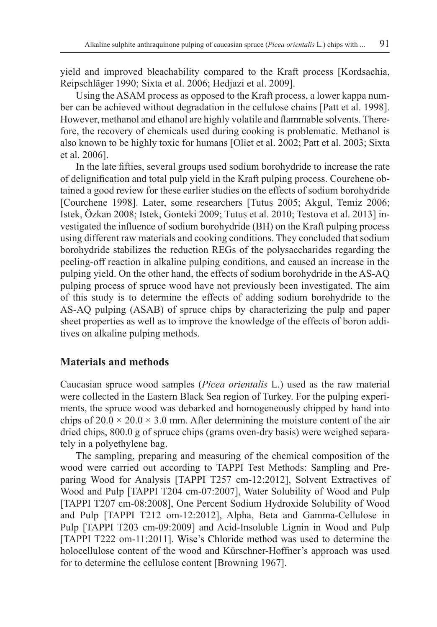yield and improved bleachability compared to the Kraft process [Kordsachia, Reipschläger 1990; Sixta et al. 2006; Hedjazi et al. 2009].

Using the ASAM process as opposed to the Kraft process, a lower kappa number can be achieved without degradation in the cellulose chains [Patt et al. 1998]. However, methanol and ethanol are highly volatile and flammable solvents. Therefore, the recovery of chemicals used during cooking is problematic. Methanol is also known to be highly toxic for humans [Oliet et al. 2002; Patt et al. 2003; Sixta et al. 2006].

In the late fifties, several groups used sodium borohydride to increase the rate of delignification and total pulp yield in the Kraft pulping process. Courchene obtained a good review for these earlier studies on the effects of sodium borohydride [Courchene 1998]. Later, some researchers [Tutuş 2005; Akgul, Temiz 2006; Istek, Özkan 2008; Istek, Gonteki 2009; Tutuş et al. 2010; Testova et al. 2013] investigated the influence of sodium borohydride (BH) on the Kraft pulping process using different raw materials and cooking conditions. They concluded that sodium borohydride stabilizes the reduction REGs of the polysaccharides regarding the peeling-off reaction in alkaline pulping conditions, and caused an increase in the pulping yield. On the other hand, the effects of sodium borohydride in the AS-AQ pulping process of spruce wood have not previously been investigated. The aim of this study is to determine the effects of adding sodium borohydride to the AS-AQ pulping (ASAB) of spruce chips by characterizing the pulp and paper sheet properties as well as to improve the knowledge of the effects of boron additives on alkaline pulping methods.

#### **Materials and methods**

Caucasian spruce wood samples (*Picea orientalis* L.) used as the raw material were collected in the Eastern Black Sea region of Turkey. For the pulping experiments, the spruce wood was debarked and homogeneously chipped by hand into chips of  $20.0 \times 20.0 \times 3.0$  mm. After determining the moisture content of the air dried chips, 800.0 g of spruce chips (grams oven-dry basis) were weighed separately in a polyethylene bag.

The sampling, preparing and measuring of the chemical composition of the wood were carried out according to TAPPI Test Methods: Sampling and Preparing Wood for Analysis [TAPPI T257 cm-12:2012], Solvent Extractives of Wood and Pulp [TAPPI T204 cm-07:2007], Water Solubility of Wood and Pulp [TAPPI T207 cm-08:2008], One Percent Sodium Hydroxide Solubility of Wood and Pulp [TAPPI T212 om-12:2012], Alpha, Beta and Gamma-Cellulose in Pulp [TAPPI T203 cm-09:2009] and Acid-Insoluble Lignin in Wood and Pulp [TAPPI T222 om-11:2011]. Wise's Chloride method was used to determine the holocellulose content of the wood and Kürschner-Hoffner's approach was used for to determine the cellulose content [Browning 1967].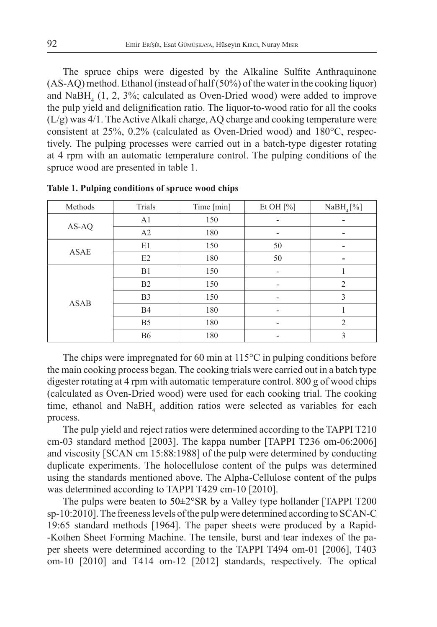The spruce chips were digested by the Alkaline Sulfite Anthraquinone (AS-AQ) method. Ethanol (instead of half (50%) of the water in the cooking liquor) and  $N$ aBH<sub>4</sub> (1, 2, 3%; calculated as Oven-Dried wood) were added to improve the pulp yield and delignification ratio. The liquor-to-wood ratio for all the cooks (L/g) was 4/1. The Active Alkali charge, AQ charge and cooking temperature were consistent at 25%, 0.2% (calculated as Oven-Dried wood) and 180°C, respectively. The pulping processes were carried out in a batch-type digester rotating at 4 rpm with an automatic temperature control. The pulping conditions of the spruce wood are presented in table 1.

| Methods     | Trials         | Time [min] | Et OH $[\%]$             | NaBH <sub>4</sub> [%] |  |
|-------------|----------------|------------|--------------------------|-----------------------|--|
|             | A <sub>1</sub> | 150        | $\overline{\phantom{0}}$ | ۰                     |  |
| AS-AQ       | A2             | 180        | $\overline{\phantom{a}}$ | -                     |  |
| <b>ASAE</b> | E1             | 150        | 50                       | -                     |  |
|             | E2             | 180        | 50                       | -                     |  |
| <b>ASAB</b> | B1             | 150        | $\overline{\phantom{a}}$ |                       |  |
|             | B <sub>2</sub> | 150        | $\overline{\phantom{a}}$ | 2                     |  |
|             | B <sub>3</sub> | 150        | $\qquad \qquad$          | 3                     |  |
|             | <b>B4</b>      | 180        | $\overline{\phantom{a}}$ |                       |  |
|             | B <sub>5</sub> | 180        | $\qquad \qquad$          | $\overline{2}$        |  |
|             | <b>B6</b>      | 180        |                          | 3                     |  |

**Table 1. Pulping conditions of spruce wood chips**

The chips were impregnated for 60 min at 115°C in pulping conditions before the main cooking process began. The cooking trials were carried out in a batch type digester rotating at 4 rpm with automatic temperature control. 800 g of wood chips (calculated as Oven-Dried wood) were used for each cooking trial. The cooking time, ethanol and  $NabH_4$  addition ratios were selected as variables for each process.

The pulp yield and reject ratios were determined according to the TAPPI T210 cm-03 standard method [2003]. The kappa number [TAPPI T236 om-06:2006] and viscosity [SCAN cm 15:88:1988] of the pulp were determined by conducting duplicate experiments. The holocellulose content of the pulps was determined using the standards mentioned above. The Alpha-Cellulose content of the pulps was determined according to TAPPI T429 cm-10 [2010].

The pulps were beaten to 50±2°SR by a Valley type hollander [TAPPI T200 sp-10:2010]. The freeness levels of the pulp were determined according to SCAN-C 19:65 standard methods [1964]. The paper sheets were produced by a Rapid- -Kothen Sheet Forming Machine. The tensile, burst and tear indexes of the paper sheets were determined according to the TAPPI T494 om-01 [2006], T403 om-10 [2010] and T414 om-12 [2012] standards, respectively. The optical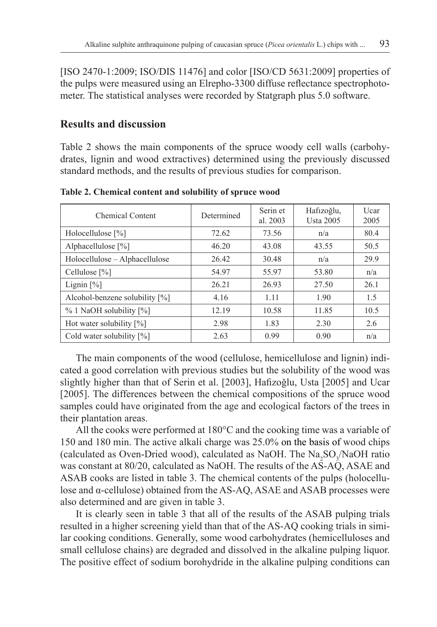[ISO 2470-1:2009; ISO/DIS 11476] and color [ISO/CD 5631:2009] properties of the pulps were measured using an Elrepho-3300 diffuse reflectance spectrophotometer. The statistical analyses were recorded by Statgraph plus 5.0 software.

#### **Results and discussion**

Table 2 shows the main components of the spruce woody cell walls (carbohydrates, lignin and wood extractives) determined using the previously discussed standard methods, and the results of previous studies for comparison.

| Chemical Content               | Determined | Serin et<br>al. 2003 | Hafizoğlu,<br><b>Usta 2005</b> | Ucar<br>2005 |
|--------------------------------|------------|----------------------|--------------------------------|--------------|
| Holocellulose [%]              | 72.62      | 73.56                | n/a                            | 80.4         |
| Alphacellulose [%]             | 46.20      | 43.08                | 43.55                          | 50.5         |
| Holocellulose - Alphacellulose | 26.42      | 30.48                | n/a                            | 29.9         |
| Cellulose $[\%]$               | 54.97      | 55.97                | 53.80                          | n/a          |
| Lignin $[\%]$                  | 26.21      | 26.93                | 27.50                          | 26.1         |
| Alcohol-benzene solubility [%] | 4.16       | 1.11                 | 1.90                           | 1.5          |
| % 1 NaOH solubility [%]        | 12.19      | 10.58                | 11.85                          | 10.5         |
| Hot water solubility $[\%]$    | 2.98       | 1.83                 | 2.30                           | 2.6          |
| Cold water solubility [%]      | 2.63       | 0.99                 | 0.90                           | n/a          |

**Table 2. Chemical content and solubility of spruce wood**

The main components of the wood (cellulose, hemicellulose and lignin) indicated a good correlation with previous studies but the solubility of the wood was slightly higher than that of Serin et al. [2003], Hafizoğlu, Usta [2005] and Ucar [2005]. The differences between the chemical compositions of the spruce wood samples could have originated from the age and ecological factors of the trees in their plantation areas.

All the cooks were performed at 180°C and the cooking time was a variable of 150 and 180 min. The active alkali charge was 25.0% on the basis of wood chips (calculated as Oven-Dried wood), calculated as NaOH. The  $\text{Na}_2\text{SO}_3/\text{NaOH}$  ratio was constant at 80/20, calculated as NaOH. The results of the AS-AQ, ASAE and ASAB cooks are listed in table 3. The chemical contents of the pulps (holocellulose and α-cellulose) obtained from the AS-AQ, ASAE and ASAB processes were also determined and are given in table 3.

It is clearly seen in table 3 that all of the results of the ASAB pulping trials resulted in a higher screening yield than that of the AS-AQ cooking trials in similar cooking conditions. Generally, some wood carbohydrates (hemicelluloses and small cellulose chains) are degraded and dissolved in the alkaline pulping liquor. The positive effect of sodium borohydride in the alkaline pulping conditions can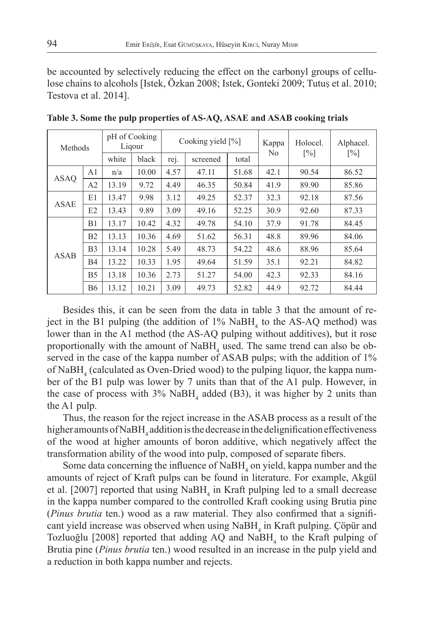be accounted by selectively reducing the effect on the carbonyl groups of cellulose chains to alcohols [Istek, Özkan 2008; Istek, Gonteki 2009; Tutuş et al. 2010; Testova et al. 2014].

| Methods     |                | pH of Cooking<br>Ligour |       | Cooking yield $[\%]$ |          |       | Kappa<br>N <sub>0</sub> | Holocel.          | Alphacel.         |
|-------------|----------------|-------------------------|-------|----------------------|----------|-------|-------------------------|-------------------|-------------------|
|             |                | white                   | black | rej.                 | screened | total |                         | $\lceil\% \rceil$ | $\lceil\% \rceil$ |
| <b>ASAO</b> | A <sub>1</sub> | n/a                     | 10.00 | 4.57                 | 47.11    | 51.68 | 42.1                    | 90.54             | 86.52             |
|             | A2             | 13.19                   | 9.72  | 4.49                 | 46.35    | 50.84 | 41.9                    | 89.90             | 85.86             |
| <b>ASAE</b> | E1             | 13.47                   | 9.98  | 3.12                 | 49.25    | 52.37 | 32.3                    | 92.18             | 87.56             |
|             | E2             | 13.43                   | 9.89  | 3.09                 | 49.16    | 52.25 | 30.9                    | 92.60             | 87.33             |
| <b>ASAB</b> | B1             | 13.17                   | 10.42 | 4.32                 | 49.78    | 54.10 | 37.9                    | 91.78             | 84.45             |
|             | B <sub>2</sub> | 13.13                   | 10.36 | 4.69                 | 51.62    | 56.31 | 48.8                    | 89.96             | 84.06             |
|             | B3             | 13.14                   | 10.28 | 5.49                 | 48.73    | 54.22 | 48.6                    | 88.96             | 85.64             |
|             | <b>B4</b>      | 13.22                   | 10.33 | 1.95                 | 49.64    | 51.59 | 35.1                    | 92.21             | 84.82             |
|             | B5             | 13.18                   | 10.36 | 2.73                 | 51.27    | 54.00 | 42.3                    | 92.33             | 84.16             |
|             | <b>B6</b>      | 13.12                   | 10.21 | 3.09                 | 49.73    | 52.82 | 44.9                    | 92.72             | 84.44             |

**Table 3. Some the pulp properties of AS-AQ, ASAE and ASAB cooking trials**

Besides this, it can be seen from the data in table 3 that the amount of reject in the B1 pulping (the addition of  $1\%$  NaBH<sub>4</sub> to the AS-AQ method) was lower than in the A1 method (the AS-AQ pulping without additives), but it rose proportionally with the amount of  $N$ a $BH$ <sub>4</sub> used. The same trend can also be observed in the case of the kappa number of ASAB pulps; with the addition of  $1\%$ of NaBH<sub>4</sub> (calculated as Oven-Dried wood) to the pulping liquor, the kappa number of the B1 pulp was lower by 7 units than that of the A1 pulp. However, in the case of process with  $3\%$  NaBH<sub>4</sub> added (B3), it was higher by 2 units than the A1 pulp.

Thus, the reason for the reject increase in the ASAB process as a result of the higher amounts of NaBH<sub>4</sub> addition is the decrease in the delignification effectiveness of the wood at higher amounts of boron additive, which negatively affect the transformation ability of the wood into pulp, composed of separate fibers.

Some data concerning the influence of  $N$ a $BH$ <sub>4</sub> on yield, kappa number and the amounts of reject of Kraft pulps can be found in literature. For example, Akgül et al. [2007] reported that using  $NabH_4$  in Kraft pulping led to a small decrease in the kappa number compared to the controlled Kraft cooking using Brutia pine (*Pinus brutia* ten.) wood as a raw material. They also confirmed that a significant yield increase was observed when using  $NaBH<sub>4</sub>$  in Kraft pulping. Çöpür and Tozluoğlu [2008] reported that adding  $AQ$  and  $NabH_4$  to the Kraft pulping of Brutia pine (*Pinus brutia* ten.) wood resulted in an increase in the pulp yield and a reduction in both kappa number and rejects.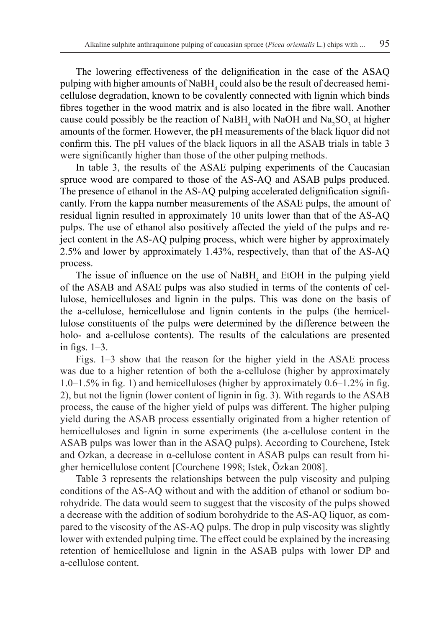The lowering effectiveness of the delignification in the case of the ASAQ pulping with higher amounts of  $\text{NaBH}_4$  could also be the result of decreased hemicellulose degradation, known to be covalently connected with lignin which binds fibres together in the wood matrix and is also located in the fibre wall. Another cause could possibly be the reaction of NaBH<sub>4</sub> with NaOH and Na<sub>2</sub>SO<sub>3</sub> at higher amounts of the former. However, the pH measurements of the black liquor did not confirm this. The pH values of the black liquors in all the ASAB trials in table 3 were significantly higher than those of the other pulping methods.

In table 3, the results of the ASAE pulping experiments of the Caucasian spruce wood are compared to those of the AS-AQ and ASAB pulps produced. The presence of ethanol in the AS-AQ pulping accelerated delignification significantly. From the kappa number measurements of the ASAE pulps, the amount of residual lignin resulted in approximately 10 units lower than that of the AS-AQ pulps. The use of ethanol also positively affected the yield of the pulps and reject content in the AS-AQ pulping process, which were higher by approximately 2.5% and lower by approximately 1.43%, respectively, than that of the AS-AQ process.

The issue of influence on the use of  $NabH_4$  and EtOH in the pulping yield of the ASAB and ASAE pulps was also studied in terms of the contents of cellulose, hemicelluloses and lignin in the pulps. This was done on the basis of the a-cellulose, hemicellulose and lignin contents in the pulps (the hemicellulose constituents of the pulps were determined by the difference between the holo- and a-cellulose contents). The results of the calculations are presented in figs. 1–3.

Figs. 1–3 show that the reason for the higher yield in the ASAE process was due to a higher retention of both the a-cellulose (higher by approximately 1.0–1.5% in fig. 1) and hemicelluloses (higher by approximately 0.6–1.2% in fig. 2), but not the lignin (lower content of lignin in fig. 3). With regards to the ASAB process, the cause of the higher yield of pulps was different. The higher pulping yield during the ASAB process essentially originated from a higher retention of hemicelluloses and lignin in some experiments (the a-cellulose content in the ASAB pulps was lower than in the ASAQ pulps). According to Courchene, Istek and Ozkan, a decrease in α-cellulose content in ASAB pulps can result from higher hemicellulose content [Courchene 1998; Istek, Özkan 2008].

Table 3 represents the relationships between the pulp viscosity and pulping conditions of the AS-AQ without and with the addition of ethanol or sodium borohydride. The data would seem to suggest that the viscosity of the pulps showed a decrease with the addition of sodium borohydride to the AS-AQ liquor, as compared to the viscosity of the AS-AQ pulps. The drop in pulp viscosity was slightly lower with extended pulping time. The effect could be explained by the increasing retention of hemicellulose and lignin in the ASAB pulps with lower DP and a-cellulose content.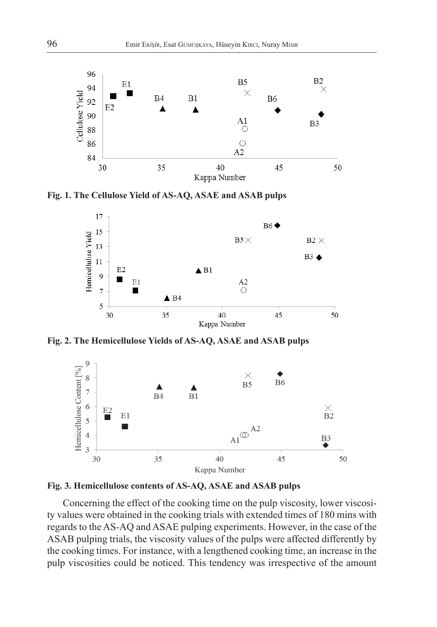

**Fig. 1. The Cellulose Yield of AS-AQ, ASAE and ASAB pulps**



**Fig. 2. The Hemicellulose Yields of AS-AQ, ASAE and ASAB pulps**





Concerning the effect of the cooking time on the pulp viscosity, lower viscosity values were obtained in the cooking trials with extended times of 180 mins with regards to the AS-AQ and ASAE pulping experiments. However, in the case of the ASAB pulping trials, the viscosity values of the pulps were affected differently by the cooking times. For instance, with a lengthened cooking time, an increase in the pulp viscosities could be noticed. This tendency was irrespective of the amount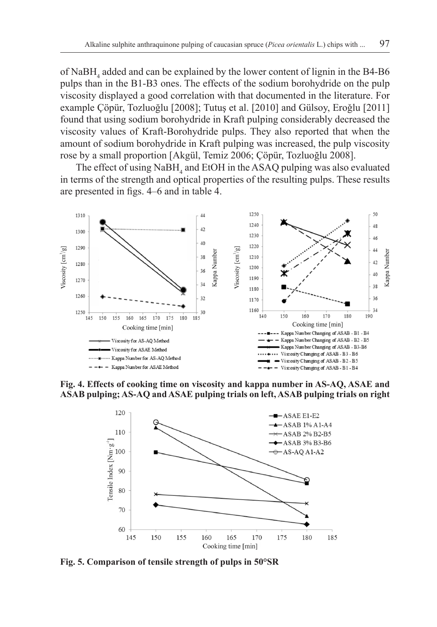of NaBH<sub>4</sub> added and can be explained by the lower content of lignin in the B4-B6 pulps than in the B1-B3 ones. The effects of the sodium borohydride on the pulp viscosity displayed a good correlation with that documented in the literature. For example Çöpür, Tozluoğlu [2008]; Tutuş et al. [2010] and Gülsoy, Eroǧlu [2011] found that using sodium borohydride in Kraft pulping considerably decreased the viscosity values of Kraft-Borohydride pulps. They also reported that when the amount of sodium borohydride in Kraft pulping was increased, the pulp viscosity rose by a small proportion [Akgül, Temiz 2006; Çöpür, Tozluoğlu 2008].

The effect of using  $N$ a $BH$ <sub>4</sub> and EtOH in the ASAQ pulping was also evaluated in terms of the strength and optical properties of the resulting pulps. These results are presented in figs. 4–6 and in table 4.



**Fig. 4. Effects of cooking time on viscosity and kappa number in AS-AQ, ASAE and ASAB pulping; AS-AQ and ASAE pulping trials on left, ASAB pulping trials on right**



**Fig. 5. Comparison of tensile strength of pulps in 50°SR**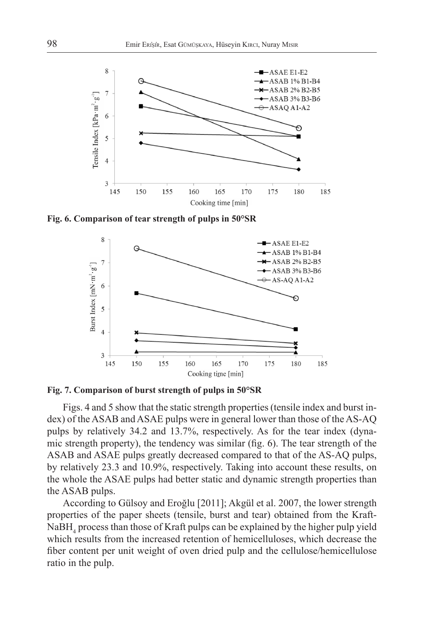

**Fig. 6. Comparison of tear strength of pulps in 50°SR**





Figs. 4 and 5 show that the static strength properties (tensile index and burst index) of the ASAB and ASAE pulps were in general lower than those of the AS-AQ pulps by relatively 34.2 and 13.7%, respectively. As for the tear index (dynamic strength property), the tendency was similar (fig. 6). The tear strength of the ASAB and ASAE pulps greatly decreased compared to that of the AS-AQ pulps, by relatively 23.3 and 10.9%, respectively. Taking into account these results, on the whole the ASAE pulps had better static and dynamic strength properties than the ASAB pulps.

According to Gülsoy and Eroğlu [2011]; Akgül et al. 2007, the lower strength properties of the paper sheets (tensile, burst and tear) obtained from the Kraft-NaBH<sup>4</sup> process than those of Kraft pulps can be explained by the higher pulp yield which results from the increased retention of hemicelluloses, which decrease the fiber content per unit weight of oven dried pulp and the cellulose/hemicellulose ratio in the pulp.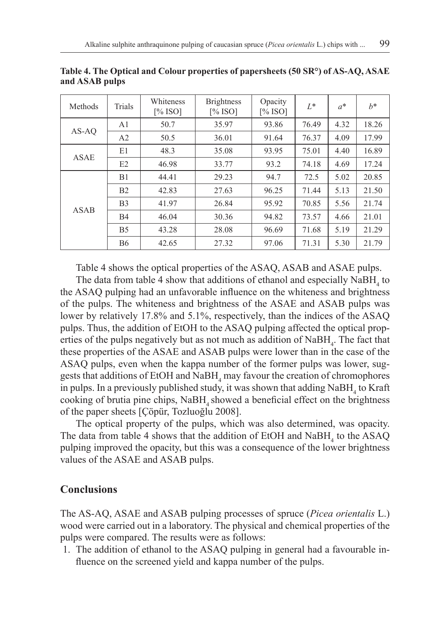| Methods     | Trials         | Whiteness<br>[% ISO] | <b>Brightness</b><br>$\lceil\%$ ISO] | Opacity<br>[% ISO] | $L^*$ | $a^*$ | $h^*$ |
|-------------|----------------|----------------------|--------------------------------------|--------------------|-------|-------|-------|
| AS-AO       | A <sub>1</sub> | 50.7                 | 35.97                                | 93.86              | 76.49 | 4.32  | 18.26 |
|             | A2             | 50.5                 | 36.01                                | 91.64              | 76.37 | 4.09  | 17.99 |
| <b>ASAE</b> | E1             | 48.3                 | 35.08                                | 93.95              | 75.01 | 4.40  | 16.89 |
|             | E2             | 46.98                | 33.77                                | 93.2               | 74.18 | 4.69  | 17.24 |
| <b>ASAB</b> | B1             | 44.41                | 29.23                                | 94.7               | 72.5  | 5.02  | 20.85 |
|             | B <sub>2</sub> | 42.83                | 27.63                                | 96.25              | 71.44 | 5.13  | 21.50 |
|             | B <sub>3</sub> | 41.97                | 26.84                                | 95.92              | 70.85 | 5.56  | 21.74 |
|             | B4             | 46.04                | 30.36                                | 94.82              | 73.57 | 4.66  | 21.01 |
|             | B <sub>5</sub> | 43.28                | 28.08                                | 96.69              | 71.68 | 5.19  | 21.29 |
|             | <b>B6</b>      | 42.65                | 27.32                                | 97.06              | 71.31 | 5.30  | 21.79 |

**Table 4. The Optical and Colour properties of papersheets (50 SR°) of AS-AQ, ASAE and ASAB pulps**

Table 4 shows the optical properties of the ASAQ, ASAB and ASAE pulps.

The data from table 4 show that additions of ethanol and especially  $N$ a $BH$ <sub>4</sub> to the ASAQ pulping had an unfavorable influence on the whiteness and brightness of the pulps. The whiteness and brightness of the ASAE and ASAB pulps was lower by relatively 17.8% and 5.1%, respectively, than the indices of the ASAQ pulps. Thus, the addition of EtOH to the ASAQ pulping affected the optical properties of the pulps negatively but as not much as addition of  $N$ a $BH$ <sub>4</sub>. The fact that these properties of the ASAE and ASAB pulps were lower than in the case of the ASAQ pulps, even when the kappa number of the former pulps was lower, suggests that additions of EtOH and  $N$ a $BH$ <sub>4</sub> may favour the creation of chromophores in pulps. In a previously published study, it was shown that adding  $NabH_4$  to Kraft cooking of brutia pine chips, NaBH<sub>4</sub> showed a beneficial effect on the brightness of the paper sheets [Çöpür, Tozluoğlu 2008].

The optical property of the pulps, which was also determined, was opacity. The data from table 4 shows that the addition of EtOH and  $N_{\rm a}$  able ASAQ pulping improved the opacity, but this was a consequence of the lower brightness values of the ASAE and ASAB pulps.

## **Conclusions**

The AS-AQ, ASAE and ASAB pulping processes of spruce (*Picea orientalis* L.) wood were carried out in a laboratory. The physical and chemical properties of the pulps were compared. The results were as follows:

1. The addition of ethanol to the ASAQ pulping in general had a favourable influence on the screened yield and kappa number of the pulps.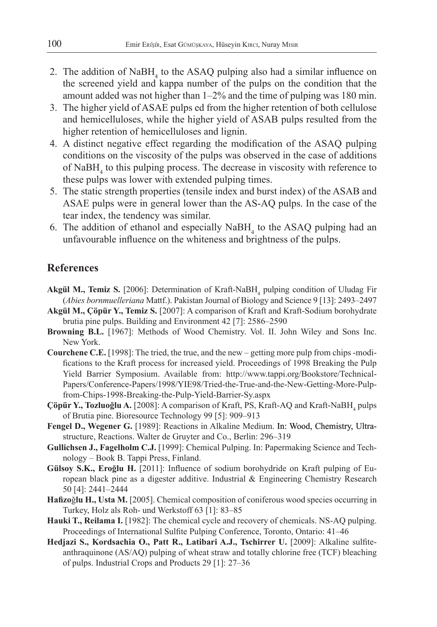- 2. The addition of  $N$ a $BH$ <sub>4</sub> to the ASAQ pulping also had a similar influence on the screened yield and kappa number of the pulps on the condition that the amount added was not higher than 1–2% and the time of pulping was 180 min.
- 3. The higher yield of ASAE pulps ed from the higher retention of both cellulose and hemicelluloses, while the higher yield of ASAB pulps resulted from the higher retention of hemicelluloses and lignin.
- 4. A distinct negative effect regarding the modification of the ASAQ pulping conditions on the viscosity of the pulps was observed in the case of additions of  $N$ a $BH$ <sub>4</sub> to this pulping process. The decrease in viscosity with reference to these pulps was lower with extended pulping times.
- 5. The static strength properties (tensile index and burst index) of the ASAB and ASAE pulps were in general lower than the AS-AQ pulps. In the case of the tear index, the tendency was similar.
- 6. The addition of ethanol and especially  $N$ a $BH$ <sub>4</sub> to the ASAQ pulping had an unfavourable influence on the whiteness and brightness of the pulps.

### **References**

- **Akgül M., Temiz S.** [2006]: Determination of Kraft-NaBH<sub>4</sub> pulping condition of Uludag Fir (*Abies bornmuelleriana* Mattf.). Pakistan Journal of Biology and Science 9 [13]: 2493–2497
- **Akgül M., Çöpür Y., Temiz S.** [2007]: A comparison of Kraft and Kraft-Sodium borohydrate brutia pine pulps. Building and Environment 42 [7]: 2586–2590
- **Browning B.L.** [1967]: Methods of Wood Chemistry. Vol. II. John Wiley and Sons Inc. New York.
- **Courchene C.E.** [1998]: The tried, the true, and the new getting more pulp from chips -modifications to the Kraft process for increased yield. Proceedings of 1998 Breaking the Pulp Yield Barrier Symposium. Available from: http://www.tappi.org/Bookstore/Technical-Papers/Conference-Papers/1998/YIE98/Tried-the-True-and-the-New-Getting-More-Pulpfrom-Chips-1998-Breaking-the-Pulp-Yield-Barrier-Sy.aspx
- **Çöpür Y., Tozluoğlu A.** [2008]: A comparison of Kraft, PS, Kraft-AQ and Kraft-NaBH<sub>4</sub> pulps of Brutia pine. Bioresource Technology 99 [5]: 909–913
- **Fengel D., Wegener G.** [1989]: Reactions in Alkaline Medium. In: Wood, Chemistry, Ultrastructure, Reactions. Walter de Gruyter and Co., Berlin: 296–319
- **Gullichsen J., Fagelholm C.J.** [1999]: Chemical Pulping. In: Papermaking Science and Technology – Book B. Tappi Press, Finland.
- **Gülsoy S.K., Eroğlu H.** [2011]: Influence of sodium borohydride on Kraft pulping of European black pine as a digester additive. Industrial & Engineering Chemistry Research 50 [4]: 2441–2444
- **Hafizo**ǧ**lu H., Usta M.** [2005]. Chemical composition of coniferous wood species occurring in Turkey, Holz als Roh- und Werkstoff 63 [1]: 83–85
- **Hauki T., Reilama I.** [1982]: The chemical cycle and recovery of chemicals. NS-AQ pulping. Proceedings of International Sulfite Pulping Conference, Toronto, Ontario: 41–46
- **Hedjazi S., Kordsachia O., Patt R., Latibari A.J., Tschirrer U.** [2009]: Alkaline sulfiteanthraquinone (AS/AQ) pulping of wheat straw and totally chlorine free (TCF) bleaching of pulps. Industrial Crops and Products 29 [1]: 27–36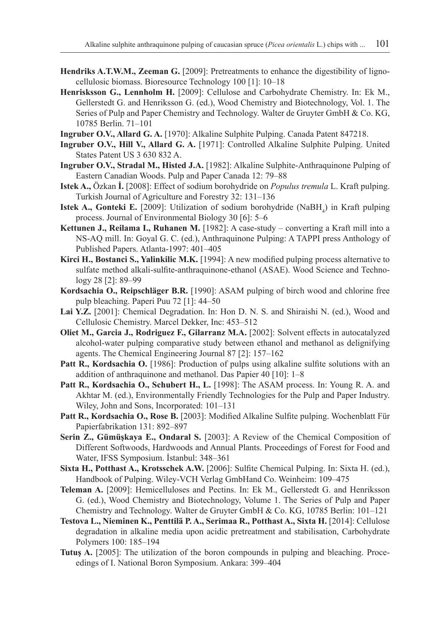- **Hendriks A.T.W.M., Zeeman G.** [2009]: Pretreatments to enhance the digestibility of lignocellulosic biomass. Bioresource Technology 100 [1]: 10–18
- **Henrisksson G., Lennholm H.** [2009]: Cellulose and Carbohydrate Chemistry. In: Ek M., Gellerstedt G. and Henriksson G. (ed.), Wood Chemistry and Biotechnology, Vol. 1. The Series of Pulp and Paper Chemistry and Technology. Walter de Gruyter GmbH & Co. KG, 10785 Berlin. 71–101
- **Ingruber O.V., Allard G. A.** [1970]: Alkaline Sulphite Pulping. Canada Patent 847218.
- **Ingruber O.V., Hill V., Allard G. A.** [1971]: Controlled Alkaline Sulphite Pulping. United States Patent US 3 630 832 A.
- **Ingruber O.V., Stradal M., Histed J.A.** [1982]: Alkaline Sulphite-Anthraquinone Pulping of Eastern Canadian Woods. Pulp and Paper Canada 12: 79–88
- **Istek A.,** Özkan **İ.** [2008]: Effect of sodium borohydride on *Populus tremula* L. Kraft pulping. Turkish Journal of Agriculture and Forestry 32: 131–136
- **Istek A., Gonteki E.** [2009]: Utilization of sodium borohydride (NaBH<sub>4</sub>) in Kraft pulping process. Journal of Environmental Biology 30 [6]: 5–6
- **Kettunen J., Reilama I., Ruhanen M.** [1982]: A case-study converting a Kraft mill into a NS-AQ mill. In: Goyal G. C. (ed.), Anthraquinone Pulping: A TAPPI press Anthology of Published Papers. Atlanta-1997: 401–405
- **Kirci H., Bostanci S., Yalinkilic M.K.** [1994]: A new modified pulping process alternative to sulfate method alkali-sulfite-anthraquinone-ethanol (ASAE). Wood Science and Technology 28 [2]: 89–99
- **Kordsachia O., Reipschläger B.R.** [1990]: ASAM pulping of birch wood and chlorine free pulp bleaching. Paperi Puu 72 [1]: 44–50
- **Lai Y.Z.** [2001]: Chemical Degradation. In: Hon D. N. S. and Shiraishi N. (ed.), Wood and Cellulosic Chemistry. Marcel Dekker, Inc: 453–512
- **Oliet M., Garcia J., Rodriguez F., Gilarranz M.A.** [2002]: Solvent effects in autocatalyzed alcohol-water pulping comparative study between ethanol and methanol as delignifying agents. The Chemical Engineering Journal 87 [2]: 157–162
- Patt R., Kordsachia O. [1986]: Production of pulps using alkaline sulfite solutions with an addition of anthraquinone and methanol. Das Papier 40 [10]: 1–8
- Patt R., Kordsachia O., Schubert H., L. [1998]: The ASAM process. In: Young R. A. and Akhtar M. (ed.), Environmentally Friendly Technologies for the Pulp and Paper Industry. Wiley, John and Sons, Incorporated: 101–131
- **Patt R., Kordsachia O., Rose B.** [2003]: Modified Alkaline Sulfite pulping. Wochenblatt Für Papierfabrikation 131: 892–897
- **Serin Z., Gümüşkaya E., Ondaral S.** [2003]: A Review of the Chemical Composition of Different Softwoods, Hardwoods and Annual Plants. Proceedings of Forest for Food and Water, IFSS Symposium. İstanbul: 348–361
- **Sixta H., Potthast A., Krotsschek A.W.** [2006]: Sulfite Chemical Pulping. In: Sixta H. (ed.), Handbook of Pulping. Wiley-VCH Verlag GmbHand Co. Weinheim: 109–475
- **Teleman A.** [2009]: Hemicelluloses and Pectins. In: Ek M., Gellerstedt G. and Henriksson G. (ed.), Wood Chemistry and Biotechnology, Volume 1. The Series of Pulp and Paper Chemistry and Technology. Walter de Gruyter GmbH & Co. KG, 10785 Berlin: 101–121
- **Testova L., Nieminen K., Penttilä P. A., Serimaa R., Potthast A., Sixta H.** [2014]: Cellulose degradation in alkaline media upon acidic pretreatment and stabilisation, Carbohydrate Polymers 100: 185–194
- **Tutuş A.** [2005]: The utilization of the boron compounds in pulping and bleaching. Proceedings of I. National Boron Symposium. Ankara: 399–404